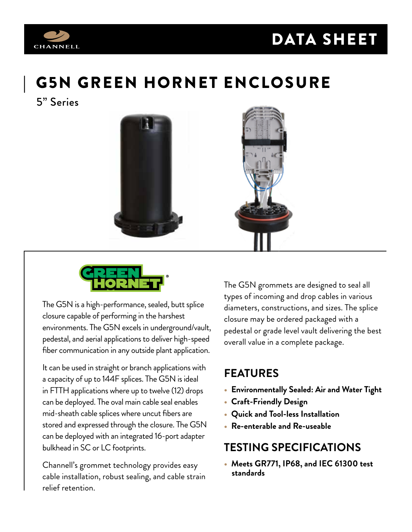

# DATA SHEET

# | G5N GREEN HORNET ENCLOSURE

5" Series





The G5N is a high-performance, sealed, butt splice closure capable of performing in the harshest environments. The G5N excels in underground/vault, pedestal, and aerial applications to deliver high-speed fiber communication in any outside plant application.

It can be used in straight or branch applications with a capacity of up to 144F splices. The G5N is ideal in FTTH applications where up to twelve (12) drops can be deployed. The oval main cable seal enables mid-sheath cable splices where uncut fibers are stored and expressed through the closure. The G5N can be deployed with an integrated 16-port adapter bulkhead in SC or LC footprints.

Channell's grommet technology provides easy cable installation, robust sealing, and cable strain relief retention.

The G5N grommets are designed to seal all types of incoming and drop cables in various diameters, constructions, and sizes. The splice closure may be ordered packaged with a pedestal or grade level vault delivering the best overall value in a complete package.

### **FEATURES**

- **Environmentally Sealed: Air and Water Tight**
- **Craft-Friendly Design**
- **Quick and Tool-less Installation**
- **Re-enterable and Re-useable**

### **TESTING SPECIFICATIONS**

**• Meets GR771, IP68, and IEC 61300 test standards**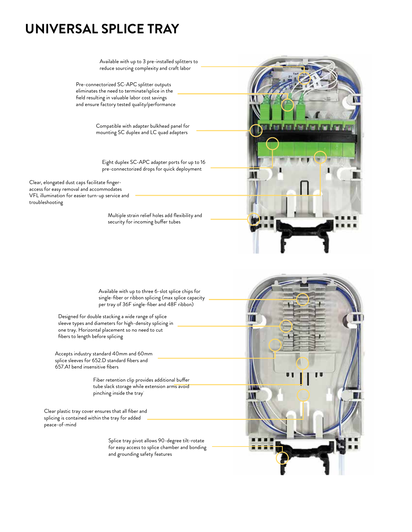## **UNIVERSAL SPLICE TRAY**

Available with up to 3 pre-installed splitters to reduce sourcing complexity and craft labor Pre-connectorized SC-APC splitter outputs eliminates the need to terminate/splice in the field resulting in valuable labor cost savings n and ensure factory tested quality/performance Compatible with adapter bulkhead panel for mounting SC duplex and LC quad adapters Eight duplex SC-APC adapter ports for up to 16 pre-connectorized drops for quick deployment Clear, elongated dust caps facilitate fingeraccess for easy removal and accommodates VFL illumination for easier turn-up service and Multiple strain relief holes add flexibility and security for incoming buffer tubes

> Available with up to three 6-slot splice chips for single-fiber or ribbon splicing (max splice capacity per tray of 36F single-fiber and 48F ribbon)

Designed for double stacking a wide range of splice sleeve types and diameters for high-density splicing in one tray. Horizontal placement so no need to cut fibers to length before splicing

Accepts industry standard 40mm and 60mm splice sleeves for 652.D standard fibers and 657.A1 bend insensitive fibers

troubleshooting

Fiber retention clip provides additional buffer tube slack storage while extension arms avoid pinching inside the tray

Clear plastic tray cover ensures that all fiber and splicing is contained within the tray for added peace-of-mind

> Splice tray pivot allows 90-degree tilt-rotate for easy access to splice chamber and bonding and grounding safety features

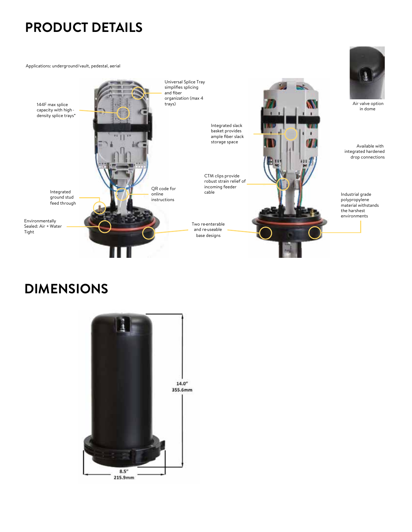Applications: underground/vault, pedestal, aerial



## **DIMENSIONS**

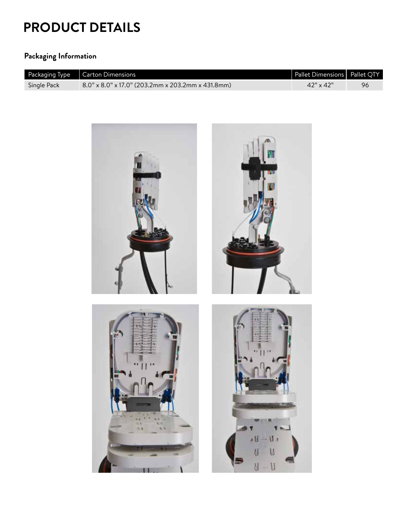### **Packaging Information**

|             | Packaging Type $\Big $ Carton Dimensions             | Pallet Dimensions   Pallet QTY |    |
|-------------|------------------------------------------------------|--------------------------------|----|
| Single Pack | $8.0$ " x 8.0" x 17.0" (203.2mm x 203.2mm x 431.8mm) | $42" \times 42"$               | 96 |

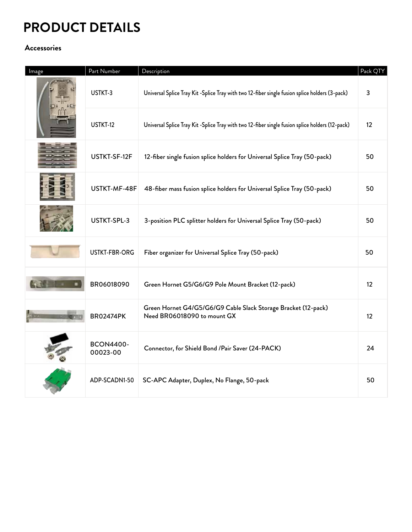### **Accessories**

| Image | Part Number                  | Description                                                                                    | Pack QTY          |
|-------|------------------------------|------------------------------------------------------------------------------------------------|-------------------|
|       | USTKT-3                      | Universal Splice Tray Kit -Splice Tray with two 12-fiber single fusion splice holders (3-pack) | 3                 |
|       | USTKT-12                     | Universal Splice Tray Kit-Splice Tray with two 12-fiber single fusion splice holders (12-pack) | $12 \overline{ }$ |
|       | USTKT-SF-12F                 | 12-fiber single fusion splice holders for Universal Splice Tray (50-pack)                      | 50                |
|       | USTKT-MF-48F                 | 48-fiber mass fusion splice holders for Universal Splice Tray (50-pack)                        | 50                |
|       | USTKT-SPL-3                  | 3-position PLC splitter holders for Universal Splice Tray (50-pack)                            | 50                |
|       | USTKT-FBR-ORG                | Fiber organizer for Universal Splice Tray (50-pack)                                            | 50                |
|       | BR06018090                   | Green Hornet G5/G6/G9 Pole Mount Bracket (12-pack)                                             | 12                |
|       | <b>BR02474PK</b>             | Green Hornet G4/G5/G6/G9 Cable Slack Storage Bracket (12-pack)<br>Need BR06018090 to mount GX  | 12                |
|       | <b>BCON4400-</b><br>00023-00 | Connector, for Shield Bond / Pair Saver (24-PACK)                                              | 24                |
|       | ADP-SCADN1-50                | SC-APC Adapter, Duplex, No Flange, 50-pack                                                     | 50                |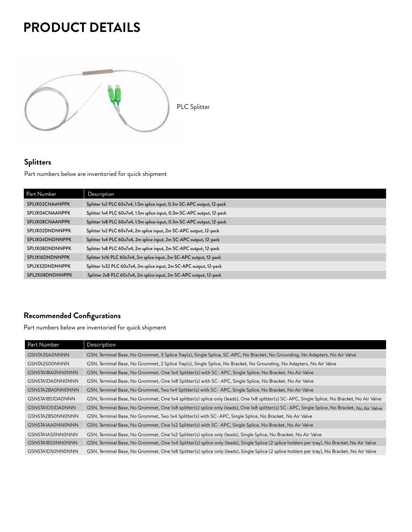

### **Splitters**

Part numbers below are inventoried for quick shipment

| Part Number     | Description                                                             |
|-----------------|-------------------------------------------------------------------------|
| SPL1X02CNAANPPK | Splitter 1x2 PLC 60x7x4, 1.5m splice input, 0.3m SC-APC output, 12-pack |
| SPL1X04CNAANPPK | Splitter 1x4 PLC 60x7x4, 1.5m splice input, 0.3m SC-APC output, 12-pack |
| SPL1X08CNAANPPK | Splitter 1x8 PLC 60x7x4, 1.5m splice input, 0.3m SC-APC output, 12-pack |
| SPL1X02DNDNNPPK | Splitter 1x2 PLC 60x7x4, 2m splice input, 2m SC-APC output, 12-pack     |
| SPL1X04DNDNNPPK | Splitter 1x4 PLC 60x7x4, 2m splice input, 2m SC-APC output, 12-pack     |
| SPL1X08DNDNNPPK | Splitter 1x8 PLC 60x7x4, 2m splice input, 2m SC-APC output, 12-pack     |
| SPL1X16DNDNNPPK | Splitter 1x16 PLC 60x7x4, 2m splice input, 2m SC-APC output, 12-pack    |
| SPL1X32DNDNNPPK | Splitter 1x32 PLC 60x7x4, 2m splice input, 2m SC-APC output, 12-pack    |
| SPL2X08DNDNNPPK | Splitter 2x8 PLC 60x7x4, 2m splice input, 2m SC-APC output, 12-pack     |

### **Recommended Configurations**

Part numbers below are inventoried for quick shipment

| Part Number      | Description                                                                                                                                  |
|------------------|----------------------------------------------------------------------------------------------------------------------------------------------|
|                  |                                                                                                                                              |
| G5NTA3SA0NNNN    | G5N, Terminal Base, No Grommet, 3 Splice Tray(s), Single Splice, SC-APC, No Bracket, No Grounding, No Adapters, No Air Valve                 |
| G5NTA2S00NNNN    | G5N, Terminal Base, No Grommet, 2 Splice Tray(s), Single Splice, No Bracket, No Grounding, No Adapters, No Air Valve                         |
| G5NSTA1BA0NN0NNN | G5N, Terminal Base, No Grommet, One 1x4 Splitter(s) with SC- APC, Single Splice, No Bracket, No Air Valve                                    |
| G5NSTA1DA0NN0NNN | G5N, Terminal Base, No Grommet, One 1x8 Splitter(s) with SC- APC, Single Splice, No Bracket, No Air Valve                                    |
| G5NSTA2BA0NN0NNN | G5N, Terminal Base, No Grommet, Two 1x4 Splitter(s) with SC- APC, Single Splice, No Bracket, No Air Valve                                    |
| G5NSTA1BS1DA0NNN | G5N, Terminal Base, No Grommet, One 1x4 splitter(s) splice only (leads), One 1x8 splitter(s) SC-APC, Single Splice, No Bracket, No Air Valve |
| G5NSTA1DS1DA0NNN | G5N, Terminal Base, No Grommet, One 1x8 splitter(s) splice only (leads), One 1x8 splitter(s) SC-APC, Single Splice, No Bracket, No Air Valve |
| G5NSTA2BS0NN0NNN | G5N, Terminal Base, No Grommet, Two 1x4 Splitter(s) with SC-APC, Single Splice, No Bracket, No Air Valve                                     |
| G5NSTA1AA0NN0NNN | G5N, Terminal Base, No Grommet, One 1x2 Splitter(s) with SC-APC, Single Splice, No Bracket, No Air Valve                                     |
| G5NSTA1AS0NN0NNN | G5N, Terminal Base, No Grommet, One 1x2 Splitter(s) splice only (leads), Single Splice, No Bracket, No Air Valve                             |
| G5NSTA1BS0NN0NNN | G5N, Terminal Base, No Grommet, One 1x4 Splitter(s) splice only (leads), Single Splice (2 splice holders per tray), No Bracket, No Air Valve |
| G5NSTA1DS0NN0NNN | G5N, Terminal Base, No Grommet, One 1x8 Splitter(s) splice only (leads), Single Splice (2 splice holders per tray), No Bracket, No Air Valve |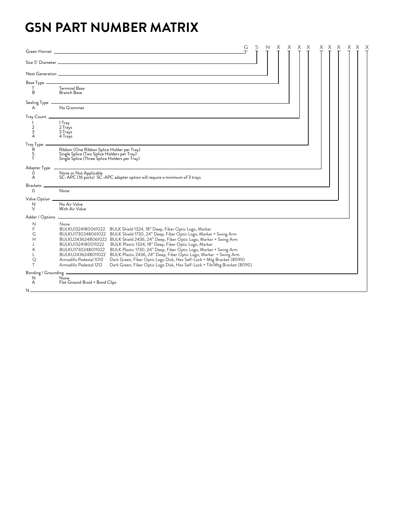## **G5N PART NUMBER MATRIX**

| Green Hornet _                                            |                                                                                                                                                                                                                                                                                                                                                                                                                                                                                                                                                                                                                                                                                                                                           | G | 5 |  |  | х |  |  |
|-----------------------------------------------------------|-------------------------------------------------------------------------------------------------------------------------------------------------------------------------------------------------------------------------------------------------------------------------------------------------------------------------------------------------------------------------------------------------------------------------------------------------------------------------------------------------------------------------------------------------------------------------------------------------------------------------------------------------------------------------------------------------------------------------------------------|---|---|--|--|---|--|--|
|                                                           |                                                                                                                                                                                                                                                                                                                                                                                                                                                                                                                                                                                                                                                                                                                                           |   |   |  |  |   |  |  |
|                                                           |                                                                                                                                                                                                                                                                                                                                                                                                                                                                                                                                                                                                                                                                                                                                           |   |   |  |  |   |  |  |
| Base Type -<br>т<br>B                                     | <b>Terminal Base</b><br>Branch Base                                                                                                                                                                                                                                                                                                                                                                                                                                                                                                                                                                                                                                                                                                       |   |   |  |  |   |  |  |
| Sealing Type<br>A                                         | No Grommet                                                                                                                                                                                                                                                                                                                                                                                                                                                                                                                                                                                                                                                                                                                                |   |   |  |  |   |  |  |
| Tray Count _<br>$\overline{2}$<br>3<br>$\overline{4}$     | 1 Tray<br>2 Trays<br>3 Trays<br>4 Trays                                                                                                                                                                                                                                                                                                                                                                                                                                                                                                                                                                                                                                                                                                   |   |   |  |  |   |  |  |
| Tray Type<br>R<br>S<br>т                                  | Ribbon (One Ribbon Splice Holder per Tray)<br>Single Splice (Two Splice Holders per Tray)<br>Single Splice (Three Splice Holders per Tray)                                                                                                                                                                                                                                                                                                                                                                                                                                                                                                                                                                                                |   |   |  |  |   |  |  |
| Adapter Type<br>0<br>А                                    | None or Not Applicable<br>SC-APC (16 ports) SC-APC adapter option will require a minimum of 3 trays                                                                                                                                                                                                                                                                                                                                                                                                                                                                                                                                                                                                                                       |   |   |  |  |   |  |  |
| Brackets<br>$\circ$                                       | None                                                                                                                                                                                                                                                                                                                                                                                                                                                                                                                                                                                                                                                                                                                                      |   |   |  |  |   |  |  |
| Valve Option _<br>N<br>$\vee$                             | No Air Valve<br>With Air Valve                                                                                                                                                                                                                                                                                                                                                                                                                                                                                                                                                                                                                                                                                                            |   |   |  |  |   |  |  |
| Adder / Options _<br>N<br>F<br>G<br>H<br>J<br>K<br>ς<br>T | None<br>BULKU1324180061022 BULK Shield 1324, 18" Deep, Fiber Optic Logo, Marker<br>BULKU1730248061022 BULK Shield 1730, 24" Deep, Fiber Optic Logo, Marker + Swing Arm<br>BULKU2436248061022 BULK Shield 2436, 24" Deep, Fiber Optic Logo, Marker + Swing Arm<br>BULKU1324180011022 BULK Plastic 1324, 18" Deep, Fiber Optic Logo, Marker<br>BULK Plastic 1730, 24" Deep, Fiber Optic Logo, Marker + Swing Arm<br>BULKU1730248011022<br>BULKU2436248011022 BULK Plastic 2436, 24" Deep, Fiber Optic Logo, Marker + Swing Arm<br>Dark Green, Fiber Optic Logo Disk, Hex Self-Lock + Mtg Bracket (8090)<br>Armadillo Pedestal 1010<br>Dark Green, Fiber Optic Logo Disk, Hex Self-Lock + Tilt/Mtg Bracket (8090)<br>Armadillo Pedestal 1212 |   |   |  |  |   |  |  |
| Bonding / Grounding<br>N<br>A                             | None<br>Flat Ground Braid + Bond Clips                                                                                                                                                                                                                                                                                                                                                                                                                                                                                                                                                                                                                                                                                                    |   |   |  |  |   |  |  |
|                                                           |                                                                                                                                                                                                                                                                                                                                                                                                                                                                                                                                                                                                                                                                                                                                           |   |   |  |  |   |  |  |